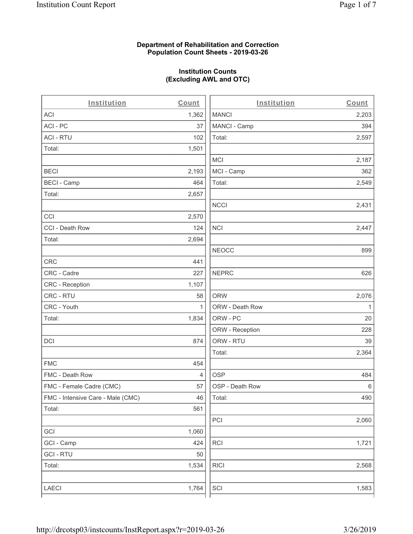#### **Department of Rehabilitation and Correction Population Count Sheets - 2019-03-26**

# **Institution Counts (Excluding AWL and OTC)**

 $\overline{a}$ .

| Institution                       | Count        | Institution     | Count        |
|-----------------------------------|--------------|-----------------|--------------|
| ACI                               | 1,362        | <b>MANCI</b>    | 2,203        |
| ACI-PC                            | 37           | MANCI - Camp    | 394          |
| <b>ACI - RTU</b>                  | 102          | Total:          | 2,597        |
| Total:                            | 1,501        |                 |              |
|                                   |              | <b>MCI</b>      | 2,187        |
| <b>BECI</b>                       | 2,193        | MCI - Camp      | 362          |
| <b>BECI - Camp</b>                | 464          | Total:          | 2,549        |
| Total:                            | 2,657        |                 |              |
|                                   |              | <b>NCCI</b>     | 2,431        |
| CCI                               | 2,570        |                 |              |
| CCI - Death Row                   | 124          | $\sf NCI$       | 2,447        |
| Total:                            | 2,694        |                 |              |
|                                   |              | <b>NEOCC</b>    | 899          |
| <b>CRC</b>                        | 441          |                 |              |
| CRC - Cadre                       | 227          | <b>NEPRC</b>    | 626          |
| CRC - Reception                   | 1,107        |                 |              |
| CRC - RTU                         | 58           | <b>ORW</b>      | 2,076        |
| CRC - Youth                       | $\mathbf{1}$ | ORW - Death Row | $\mathbf{1}$ |
| Total:                            | 1,834        | ORW - PC        | 20           |
|                                   |              | ORW - Reception | 228          |
| DCI                               | 874          | ORW - RTU       | 39           |
|                                   |              | Total:          | 2,364        |
| <b>FMC</b>                        | 454          |                 |              |
| FMC - Death Row                   | 4            | <b>OSP</b>      | 484          |
| FMC - Female Cadre (CMC)          | 57           | OSP - Death Row | 6            |
| FMC - Intensive Care - Male (CMC) | 46           | Total:          | 490          |
| Total:                            | 561          |                 |              |
|                                   |              | PCI             | 2,060        |
| GCI                               | 1,060        |                 |              |
| GCI - Camp                        | 424          | RCI             | 1,721        |
| <b>GCI - RTU</b>                  | 50           |                 |              |
| Total:                            | 1,534        | <b>RICI</b>     | 2,568        |
|                                   |              |                 |              |
| LAECI                             | 1,764        | SCI             | 1,583        |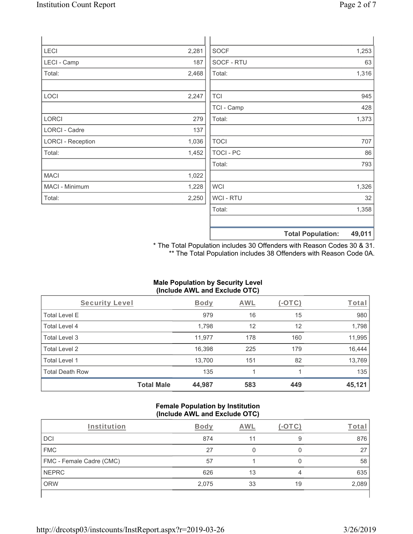| LECI                     | 2,281 | <b>SOCF</b> | 1,253 |
|--------------------------|-------|-------------|-------|
| LECI - Camp              | 187   | SOCF - RTU  | 63    |
| Total:                   | 2,468 | Total:      | 1,316 |
|                          |       |             |       |
| LOCI                     | 2,247 | <b>TCI</b>  | 945   |
|                          |       | TCI - Camp  | 428   |
| LORCI                    | 279   | Total:      | 1,373 |
| <b>LORCI - Cadre</b>     | 137   |             |       |
| <b>LORCI - Reception</b> | 1,036 | <b>TOCI</b> | 707   |
| Total:                   | 1,452 | TOCI - PC   | 86    |
|                          |       | Total:      | 793   |
| <b>MACI</b>              | 1,022 |             |       |
| MACI - Minimum           | 1,228 | <b>WCI</b>  | 1,326 |
| Total:                   | 2,250 | WCI - RTU   | 32    |
|                          |       | Total:      | 1,358 |
|                          |       |             |       |

\* The Total Population includes 30 Offenders with Reason Codes 30 & 31. \*\* The Total Population includes 38 Offenders with Reason Code 0A.

**Total Population: 49,011**

#### **Male Population by Security Level (Include AWL and Exclude OTC)**

| Security Level         |                   | <b>Body</b> | <b>AWL</b> | (-OTC) | Total  |
|------------------------|-------------------|-------------|------------|--------|--------|
| <b>Total Level E</b>   |                   | 979         | 16         | 15     | 980    |
| Total Level 4          |                   | 1,798       | 12         | 12     | 1,798  |
| Total Level 3          |                   | 11,977      | 178        | 160    | 11,995 |
| Total Level 2          |                   | 16,398      | 225        | 179    | 16,444 |
| Total Level 1          |                   | 13,700      | 151        | 82     | 13,769 |
| <b>Total Death Row</b> |                   | 135         |            |        | 135    |
|                        | <b>Total Male</b> | 44,987      | 583        | 449    | 45,121 |

#### **Female Population by Institution (Include AWL and Exclude OTC)**

| Institution              | Body  | AWL | (-OTC) | Tota  |
|--------------------------|-------|-----|--------|-------|
| <b>DCI</b>               | 874   | 11  | 9      | 876   |
| <b>FMC</b>               | 27    |     |        | 27    |
| FMC - Female Cadre (CMC) | 57    |     |        | 58    |
| <b>NEPRC</b>             | 626   | 13  |        | 635   |
| <b>ORW</b>               | 2,075 | 33  | 19     | 2,089 |
|                          |       |     |        |       |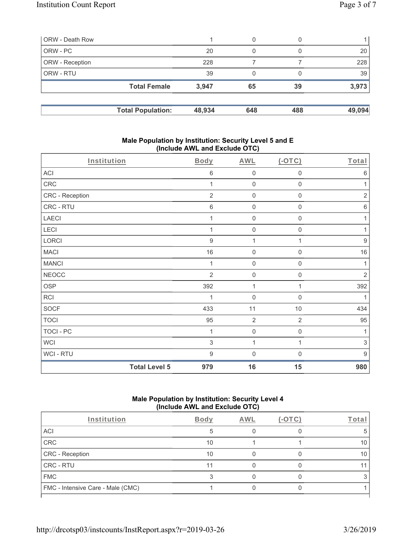| ORW - Death Row |                          |        | 0   | 0   |        |
|-----------------|--------------------------|--------|-----|-----|--------|
| ORW - PC        |                          | 20     | 0   |     | 20     |
| ORW - Reception |                          | 228    |     |     | 228    |
| ORW - RTU       |                          | 39     | 0   |     | 39     |
|                 | <b>Total Female</b>      | 3,947  | 65  | 39  | 3,973  |
|                 | <b>Total Population:</b> | 48,934 | 648 | 488 | 49,094 |

### **Male Population by Institution: Security Level 5 and E (Include AWL and Exclude OTC)**

| Institution      | <b>Body</b>                 | <b>AWL</b>          | $($ -OTC $)$        | Total            |
|------------------|-----------------------------|---------------------|---------------------|------------------|
| ACI              | 6                           | $\mathsf{O}\xspace$ | $\boldsymbol{0}$    | $\,6$            |
| CRC              | 1                           | $\mathsf{O}\xspace$ | $\mathbf 0$         | 1                |
| CRC - Reception  | $\overline{2}$              | $\mathbf 0$         | $\mathbf 0$         | $\sqrt{2}$       |
| CRC - RTU        | 6                           | $\mathbf 0$         | $\mathsf{O}\xspace$ | $\,6$            |
| <b>LAECI</b>     | 1                           | $\mathsf{O}\xspace$ | $\mathsf{O}\xspace$ | 1                |
| LECI             | 1                           | $\mathsf{O}\xspace$ | $\mathsf{O}\xspace$ | 1                |
| LORCI            | $9\,$                       | $\mathbf{1}$        | $\mathbf{1}$        | $\boldsymbol{9}$ |
| <b>MACI</b>      | 16                          | $\mathsf{O}\xspace$ | $\mathsf{O}\xspace$ | 16               |
| <b>MANCI</b>     | 1                           | $\mathsf{O}\xspace$ | $\boldsymbol{0}$    | 1                |
| <b>NEOCC</b>     | $\overline{2}$              | $\mathbf 0$         | 0                   | $\sqrt{2}$       |
| <b>OSP</b>       | 392                         | 1                   | 1                   | 392              |
| <b>RCI</b>       |                             | $\mathsf{O}\xspace$ | $\mathbf 0$         | 1                |
| <b>SOCF</b>      | 433                         | 11                  | 10                  | 434              |
| <b>TOCI</b>      | 95                          | $\overline{2}$      | $\overline{2}$      | 95               |
| <b>TOCI - PC</b> | 1                           | $\mathsf{O}\xspace$ | $\mathsf 0$         | 1                |
| <b>WCI</b>       | 3                           | 1                   | 1                   | $\,$ 3 $\,$      |
| WCI - RTU        | 9                           | $\mathbf 0$         | 0                   | $9$              |
|                  | <b>Total Level 5</b><br>979 | 16                  | 15                  | 980              |

## **Male Population by Institution: Security Level 4 (Include AWL and Exclude OTC)**

| Institution                       | <b>Body</b> | <b>AWL</b> | Γotal |
|-----------------------------------|-------------|------------|-------|
| ACI                               |             |            |       |
| CRC                               | 10          |            | 10    |
| <b>CRC</b> - Reception            | 10          |            |       |
| CRC - RTU                         | 11          |            |       |
| <b>FMC</b>                        |             |            |       |
| FMC - Intensive Care - Male (CMC) |             |            |       |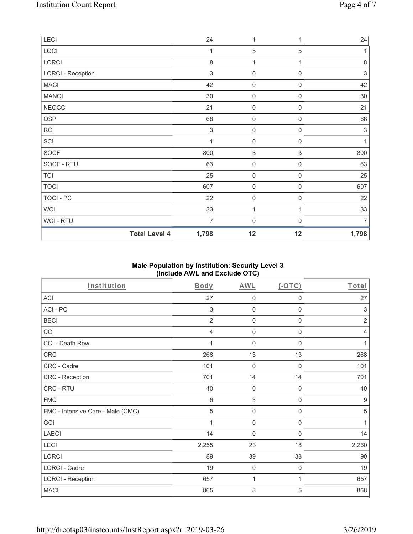| LECI                     | 24                            | 1                         | 1                | 24             |
|--------------------------|-------------------------------|---------------------------|------------------|----------------|
| LOCI                     | 1                             | 5                         | 5                | 1              |
| LORCI                    | 8                             | 1                         |                  | $\,8\,$        |
| <b>LORCI - Reception</b> | $\mathfrak{S}$                | $\mathsf{O}\xspace$       | $\mathbf 0$      | $\sqrt{3}$     |
| <b>MACI</b>              | 42                            | $\mathsf{O}\xspace$       | $\mathbf 0$      | 42             |
| <b>MANCI</b>             | 30                            | $\mathsf{O}\xspace$       | $\mathbf 0$      | 30             |
| <b>NEOCC</b>             | 21                            | $\mathsf{O}\xspace$       | $\boldsymbol{0}$ | 21             |
| <b>OSP</b>               | 68                            | $\mathsf{O}\xspace$       | 0                | 68             |
| RCI                      | $\,$ 3 $\,$                   | 0                         | $\boldsymbol{0}$ | $\sqrt{3}$     |
| SCI                      | 1                             | $\mathbf 0$               | $\mathbf 0$      | $\mathbf{1}$   |
| SOCF                     | 800                           | $\ensuremath{\mathsf{3}}$ | $\sqrt{3}$       | 800            |
| SOCF - RTU               | 63                            | $\mathbf 0$               | $\mathbf 0$      | 63             |
| <b>TCI</b>               | 25                            | $\boldsymbol{0}$          | 0                | 25             |
| <b>TOCI</b>              | 607                           | $\mathsf{O}\xspace$       | $\boldsymbol{0}$ | 607            |
| TOCI - PC                | 22                            | $\mathbf 0$               | 0                | 22             |
| WCI                      | 33                            | 1                         |                  | 33             |
| WCI - RTU                | 7                             | $\boldsymbol{0}$          | 0                | $\overline{7}$ |
|                          | <b>Total Level 4</b><br>1,798 | 12                        | 12               | 1,798          |

## **Male Population by Institution: Security Level 3 (Include AWL and Exclude OTC)**

| Institution                       | <b>Body</b>    | <b>AWL</b>          | $($ -OTC $)$        | Total          |
|-----------------------------------|----------------|---------------------|---------------------|----------------|
| <b>ACI</b>                        | 27             | $\mathbf 0$         | 0                   | 27             |
| ACI - PC                          | 3              | $\mathbf 0$         | $\mathbf 0$         | 3              |
| <b>BECI</b>                       | $\overline{2}$ | 0                   | $\mathbf 0$         | $\overline{2}$ |
| CCI                               | 4              | $\mathbf 0$         | $\boldsymbol{0}$    | $\overline{4}$ |
| CCI - Death Row                   | 1              | $\mathbf 0$         | $\mathbf 0$         | 1              |
| CRC                               | 268            | 13                  | 13                  | 268            |
| CRC - Cadre                       | 101            | $\mathsf{O}\xspace$ | $\mathbf 0$         | 101            |
| CRC - Reception                   | 701            | 14                  | 14                  | 701            |
| CRC - RTU                         | 40             | $\mathbf 0$         | $\mathsf{O}\xspace$ | 40             |
| <b>FMC</b>                        | $\,6$          | $\sqrt{3}$          | $\mathsf{O}\xspace$ | $9\,$          |
| FMC - Intensive Care - Male (CMC) | 5              | $\mathsf{O}\xspace$ | $\mathbf 0$         | $\sqrt{5}$     |
| GCI                               | 1              | $\mathbf 0$         | $\boldsymbol{0}$    | 1              |
| <b>LAECI</b>                      | 14             | $\mathbf 0$         | 0                   | 14             |
| LECI                              | 2,255          | 23                  | 18                  | 2,260          |
| <b>LORCI</b>                      | 89             | 39                  | 38                  | 90             |
| LORCI - Cadre                     | 19             | $\mathbf 0$         | $\mathbf 0$         | 19             |
| <b>LORCI - Reception</b>          | 657            | 1                   | 1                   | 657            |
| <b>MACI</b>                       | 865            | 8                   | 5                   | 868            |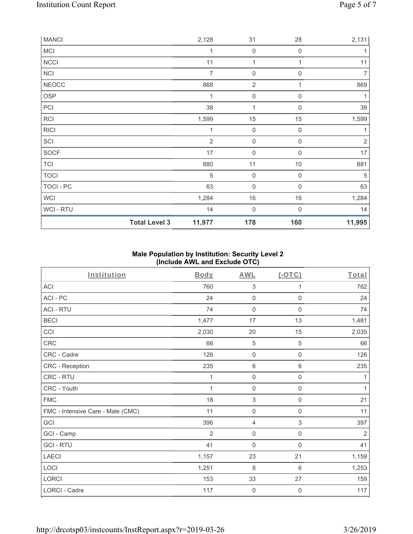| <b>MANCI</b> |                      | 2,128          | 31                  | 28               | 2,131          |
|--------------|----------------------|----------------|---------------------|------------------|----------------|
| <b>MCI</b>   |                      | 1              | 0                   | $\mathbf 0$      | 1              |
| <b>NCCI</b>  |                      | 11             | $\mathbf 1$         |                  | 11             |
| <b>NCI</b>   |                      | $\overline{7}$ | $\boldsymbol{0}$    | $\boldsymbol{0}$ | $\overline{7}$ |
| <b>NEOCC</b> |                      | 868            | $\overline{2}$      | 1                | 869            |
| OSP          |                      | $\mathbf 1$    | $\mathsf{O}\xspace$ | 0                |                |
| PCI          |                      | 38             | 1                   | $\boldsymbol{0}$ | 39             |
| <b>RCI</b>   |                      | 1,599          | 15                  | 15               | 1,599          |
| <b>RICI</b>  |                      | 1              | $\mathsf{O}\xspace$ | $\mathbf 0$      | 1              |
| SCI          |                      | $\overline{2}$ | $\boldsymbol{0}$    | $\mathbf 0$      | $\overline{2}$ |
| SOCF         |                      | 17             | $\boldsymbol{0}$    | $\mathbf 0$      | 17             |
| <b>TCI</b>   |                      | 880            | 11                  | $10$             | 881            |
| <b>TOCI</b>  |                      | $\sqrt{5}$     | $\mathsf{O}\xspace$ | $\mathbf 0$      | 5              |
| TOCI - PC    |                      | 63             | $\boldsymbol{0}$    | $\mathbf 0$      | 63             |
| <b>WCI</b>   |                      | 1,284          | $16\,$              | 16               | 1,284          |
| WCI - RTU    |                      | 14             | $\boldsymbol{0}$    | $\Omega$         | 14             |
|              | <b>Total Level 3</b> | 11,977         | 178                 | 160              | 11,995         |

# **Male Population by Institution: Security Level 2 (Include AWL and Exclude OTC)**

| Institution                       | <b>Body</b> | <b>AWL</b>          | (OTC)               | Total          |
|-----------------------------------|-------------|---------------------|---------------------|----------------|
| <b>ACI</b>                        | 760         | $\sqrt{3}$          | 1                   | 762            |
| ACI-PC                            | 24          | $\mathbf 0$         | $\mathbf 0$         | 24             |
| <b>ACI - RTU</b>                  | 74          | $\mathsf{O}\xspace$ | $\mathsf 0$         | 74             |
| <b>BECI</b>                       | 1,477       | 17                  | 13                  | 1,481          |
| CCI                               | 2,030       | 20                  | 15                  | 2,035          |
| CRC                               | 66          | $\sqrt{5}$          | 5                   | 66             |
| CRC - Cadre                       | 126         | $\mathsf{O}\xspace$ | $\mathsf 0$         | 126            |
| CRC - Reception                   | 235         | 6                   | 6                   | 235            |
| <b>CRC - RTU</b>                  | 1           | $\mathbf 0$         | $\mathbf 0$         | 1              |
| CRC - Youth                       | 1           | $\mathbf 0$         | $\mathsf{O}\xspace$ | $\mathbf{1}$   |
| <b>FMC</b>                        | 18          | $\sqrt{3}$          | 0                   | 21             |
| FMC - Intensive Care - Male (CMC) | 11          | $\mathsf{O}\xspace$ | $\mathsf{O}\xspace$ | 11             |
| GCI                               | 396         | 4                   | 3                   | 397            |
| GCI - Camp                        | 2           | $\mathbf 0$         | $\mathbf 0$         | $\overline{2}$ |
| <b>GCI-RTU</b>                    | 41          | $\mathsf{O}\xspace$ | $\mathbf 0$         | 41             |
| <b>LAECI</b>                      | 1,157       | 23                  | 21                  | 1,159          |
| LOCI                              | 1,251       | 8                   | $\,6$               | 1,253          |
| LORCI                             | 153         | 33                  | 27                  | 159            |
| LORCI - Cadre                     | 117         | 0                   | 0                   | 117            |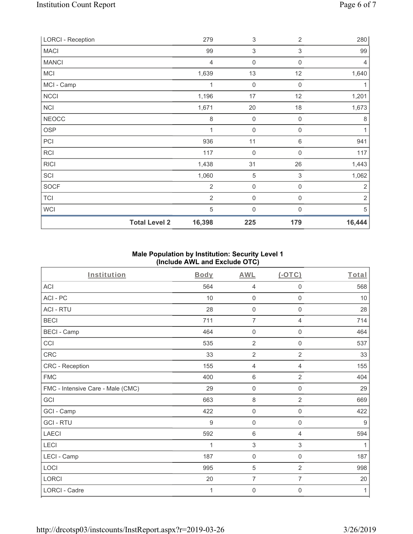| <b>LORCI - Reception</b> | 279            | $\sqrt{3}$       | $\overline{2}$   | 280            |
|--------------------------|----------------|------------------|------------------|----------------|
| <b>MACI</b>              | 99             | 3                | 3                | 99             |
| <b>MANCI</b>             | $\overline{4}$ | $\mathbf 0$      | 0                | $\overline{4}$ |
| <b>MCI</b>               | 1,639          | 13               | 12               | 1,640          |
| MCI - Camp               | 1              | $\mathbf 0$      | $\mathbf 0$      |                |
| <b>NCCI</b>              | 1,196          | 17               | 12               | 1,201          |
| <b>NCI</b>               | 1,671          | 20               | 18               | 1,673          |
| <b>NEOCC</b>             | 8              | $\mathbf 0$      | $\mathbf 0$      | 8              |
| <b>OSP</b>               | 1              | $\boldsymbol{0}$ | 0                | 1              |
| PCI                      | 936            | 11               | 6                | 941            |
| RCI                      | 117            | $\boldsymbol{0}$ | 0                | 117            |
| <b>RICI</b>              | 1,438          | 31               | 26               | 1,443          |
| SCI                      | 1,060          | $\sqrt{5}$       | 3                | 1,062          |
| SOCF                     | $\overline{2}$ | $\mathbf 0$      | $\boldsymbol{0}$ | $\overline{2}$ |
| <b>TCI</b>               | $\overline{2}$ | $\mathbf 0$      | 0                | $\overline{2}$ |
| <b>WCI</b>               | 5              | $\mathbf 0$      | $\Omega$         | 5              |
| <b>Total Level 2</b>     | 16,398         | 225              | 179              | 16,444         |

# **Male Population by Institution: Security Level 1 (Include AWL and Exclude OTC)**

| Institution                       | <b>Body</b> | <b>AWL</b>          | (OTC)               | Total |
|-----------------------------------|-------------|---------------------|---------------------|-------|
| <b>ACI</b>                        | 564         | 4                   | 0                   | 568   |
| ACI-PC                            | 10          | $\mathbf 0$         | $\mathbf 0$         | 10    |
| <b>ACI - RTU</b>                  | 28          | $\mathsf{O}\xspace$ | $\mathsf 0$         | 28    |
| <b>BECI</b>                       | 711         | $\overline{7}$      | 4                   | 714   |
| <b>BECI - Camp</b>                | 464         | 0                   | 0                   | 464   |
| CCI                               | 535         | $\overline{2}$      | $\mathbf 0$         | 537   |
| CRC                               | 33          | $\overline{2}$      | $\overline{2}$      | 33    |
| CRC - Reception                   | 155         | 4                   | 4                   | 155   |
| <b>FMC</b>                        | 400         | $\,6\,$             | $\overline{2}$      | 404   |
| FMC - Intensive Care - Male (CMC) | 29          | $\mathsf{O}\xspace$ | $\mathsf 0$         | 29    |
| GCI                               | 663         | $\,8\,$             | $\overline{2}$      | 669   |
| GCI - Camp                        | 422         | $\mathbf 0$         | 0                   | 422   |
| <b>GCI-RTU</b>                    | 9           | $\boldsymbol{0}$    | $\mathsf{O}\xspace$ | 9     |
| <b>LAECI</b>                      | 592         | $\,6\,$             | 4                   | 594   |
| <b>LECI</b>                       | 1           | $\sqrt{3}$          | 3                   | 1     |
| LECI - Camp                       | 187         | $\mathbf 0$         | $\mathbf 0$         | 187   |
| LOCI                              | 995         | 5                   | $\overline{2}$      | 998   |
| LORCI                             | 20          | $\overline{7}$      | 7                   | 20    |
| <b>LORCI - Cadre</b>              | 1           | 0                   | 0                   | 1     |